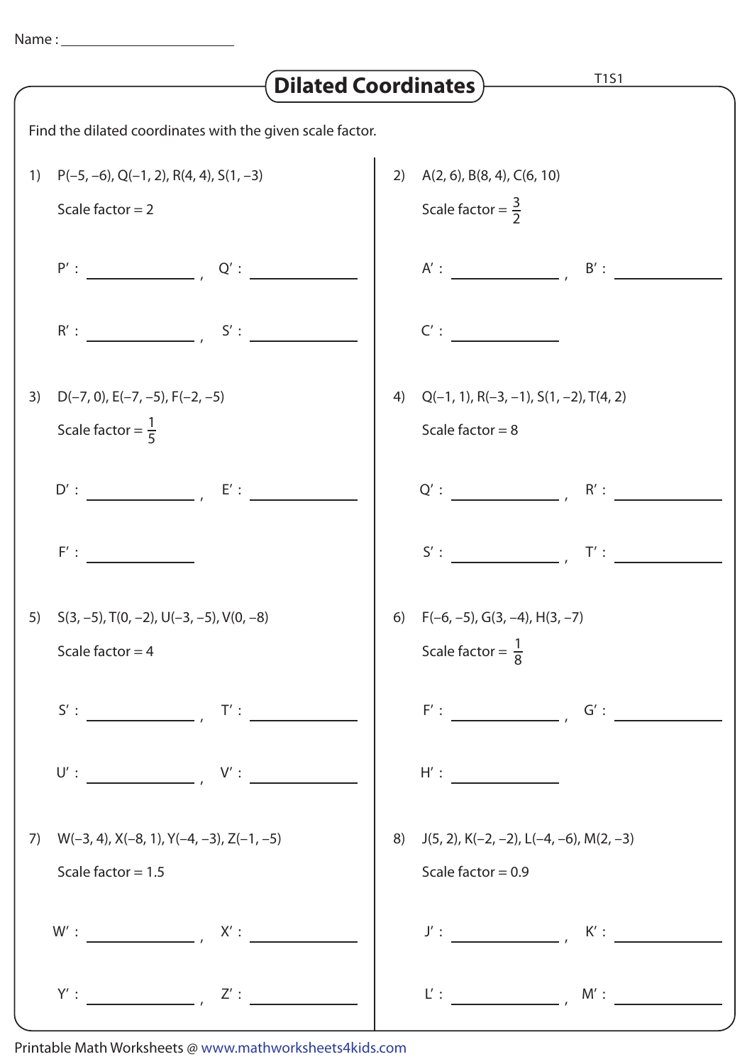| T1S1<br><b>Dilated Coordinates</b> )                      |                                                                                                                                                                                                                                                                                                                                                                                                                                                                         |  |                                                                    |
|-----------------------------------------------------------|-------------------------------------------------------------------------------------------------------------------------------------------------------------------------------------------------------------------------------------------------------------------------------------------------------------------------------------------------------------------------------------------------------------------------------------------------------------------------|--|--------------------------------------------------------------------|
| Find the dilated coordinates with the given scale factor. |                                                                                                                                                                                                                                                                                                                                                                                                                                                                         |  |                                                                    |
| 1)                                                        | $P(-5, -6)$ , Q(-1, 2), R(4, 4), S(1, -3)                                                                                                                                                                                                                                                                                                                                                                                                                               |  | 2) $A(2, 6)$ , B $(8, 4)$ , C $(6, 10)$                            |
|                                                           | Scale factor $= 2$                                                                                                                                                                                                                                                                                                                                                                                                                                                      |  | Scale factor = $\frac{3}{2}$                                       |
|                                                           | $P':$ $Q':$ $Q':$ $\overline{\phantom{aa}}$                                                                                                                                                                                                                                                                                                                                                                                                                             |  | $A':$ $B':$ $B':$ $\overline{\phantom{A}}$                         |
|                                                           | $R':$ $S':$ $S':$                                                                                                                                                                                                                                                                                                                                                                                                                                                       |  | C':                                                                |
| 3)                                                        | $D(-7, 0)$ , $E(-7, -5)$ , $F(-2, -5)$                                                                                                                                                                                                                                                                                                                                                                                                                                  |  | 4) $Q(-1, 1), R(-3, -1), S(1, -2), T(4, 2)$                        |
|                                                           | Scale factor = $\frac{1}{5}$                                                                                                                                                                                                                                                                                                                                                                                                                                            |  | Scale factor = $8$                                                 |
|                                                           | $D':$ $E':$ $E':$                                                                                                                                                                                                                                                                                                                                                                                                                                                       |  |                                                                    |
|                                                           | F':                                                                                                                                                                                                                                                                                                                                                                                                                                                                     |  | S':<br>T':                                                         |
|                                                           | 5) $S(3, -5)$ , $T(0, -2)$ , $U(-3, -5)$ , $V(0, -8)$                                                                                                                                                                                                                                                                                                                                                                                                                   |  | 6) $F(-6, -5), G(3, -4), H(3, -7)$                                 |
|                                                           | Scale factor = $4$                                                                                                                                                                                                                                                                                                                                                                                                                                                      |  | Scale factor = $\frac{1}{8}$                                       |
|                                                           | $S':$ $\overline{\phantom{a}}$ $\overline{\phantom{a}}$ $\overline{\phantom{a}}$ $\overline{\phantom{a}}$ $\overline{\phantom{a}}$ $\overline{\phantom{a}}$ $\overline{\phantom{a}}$ $\overline{\phantom{a}}$ $\overline{\phantom{a}}$ $\overline{\phantom{a}}$ $\overline{\phantom{a}}$ $\overline{\phantom{a}}$ $\overline{\phantom{a}}$ $\overline{\phantom{a}}$ $\overline{\phantom{a}}$ $\overline{\phantom{a}}$ $\overline{\phantom{a}}$ $\overline{\phantom{a}}$ |  | $F':$ $G':$ $G':$                                                  |
|                                                           |                                                                                                                                                                                                                                                                                                                                                                                                                                                                         |  | H':                                                                |
| 7)                                                        | $W(-3, 4)$ , $X(-8, 1)$ , $Y(-4, -3)$ , $Z(-1, -5)$                                                                                                                                                                                                                                                                                                                                                                                                                     |  | 8) $J(5, 2)$ , K(-2, -2), L(-4, -6), M(2, -3)                      |
|                                                           | Scale factor = $1.5$                                                                                                                                                                                                                                                                                                                                                                                                                                                    |  | Scale factor = $0.9$                                               |
|                                                           |                                                                                                                                                                                                                                                                                                                                                                                                                                                                         |  | $J':$ $K':$ $\overline{\phantom{K}:$ $\phantom{K}:$ $\phantom{K}:$ |
|                                                           | $Y':$ $Z':$                                                                                                                                                                                                                                                                                                                                                                                                                                                             |  | $L':$ $M':$                                                        |

Printable Math Worksheets @ www.mathworksheets4kids.com